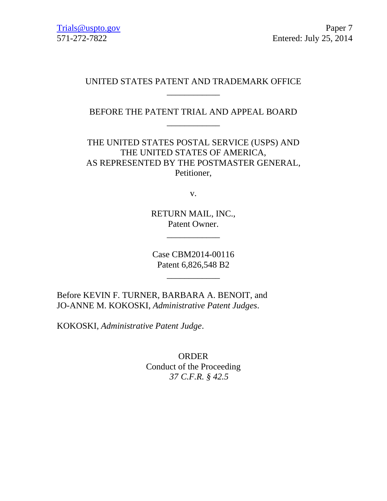## UNITED STATES PATENT AND TRADEMARK OFFICE \_\_\_\_\_\_\_\_\_\_\_\_

BEFORE THE PATENT TRIAL AND APPEAL BOARD \_\_\_\_\_\_\_\_\_\_\_\_

THE UNITED STATES POSTAL SERVICE (USPS) AND THE UNITED STATES OF AMERICA, AS REPRESENTED BY THE POSTMASTER GENERAL, Petitioner,

v.

RETURN MAIL, INC., Patent Owner.

\_\_\_\_\_\_\_\_\_\_\_\_

Case CBM2014-00116 Patent 6,826,548 B2

\_\_\_\_\_\_\_\_\_\_\_\_

Before KEVIN F. TURNER, BARBARA A. BENOIT, and JO-ANNE M. KOKOSKI, *Administrative Patent Judges*.

KOKOSKI, *Administrative Patent Judge*.

ORDER Conduct of the Proceeding *37 C.F.R. § 42.5*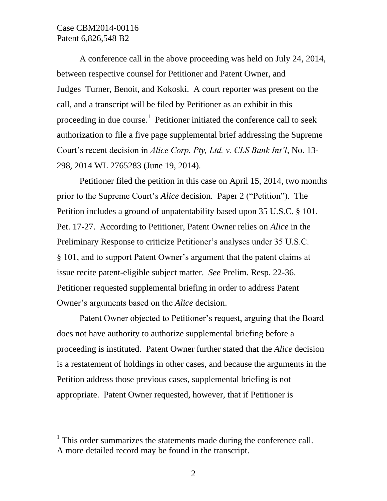## Case CBM2014-00116 Patent 6,826,548 B2

 $\overline{a}$ 

A conference call in the above proceeding was held on July 24, 2014, between respective counsel for Petitioner and Patent Owner, and Judges Turner, Benoit, and Kokoski. A court reporter was present on the call, and a transcript will be filed by Petitioner as an exhibit in this proceeding in due course.<sup>1</sup> Petitioner initiated the conference call to seek authorization to file a five page supplemental brief addressing the Supreme Court's recent decision in *Alice Corp. Pty, Ltd. v. CLS Bank Int'l*, No. 13- 298, 2014 WL 2765283 (June 19, 2014).

Petitioner filed the petition in this case on April 15, 2014, two months prior to the Supreme Court's *Alice* decision. Paper 2 ("Petition"). The Petition includes a ground of unpatentability based upon 35 U.S.C. § 101. Pet. 17-27. According to Petitioner, Patent Owner relies on *Alice* in the Preliminary Response to criticize Petitioner's analyses under 35 U.S.C. § 101, and to support Patent Owner's argument that the patent claims at issue recite patent-eligible subject matter. *See* Prelim. Resp. 22-36. Petitioner requested supplemental briefing in order to address Patent Owner's arguments based on the *Alice* decision.

Patent Owner objected to Petitioner's request, arguing that the Board does not have authority to authorize supplemental briefing before a proceeding is instituted. Patent Owner further stated that the *Alice* decision is a restatement of holdings in other cases, and because the arguments in the Petition address those previous cases, supplemental briefing is not appropriate. Patent Owner requested, however, that if Petitioner is

 $<sup>1</sup>$  This order summarizes the statements made during the conference call.</sup> A more detailed record may be found in the transcript.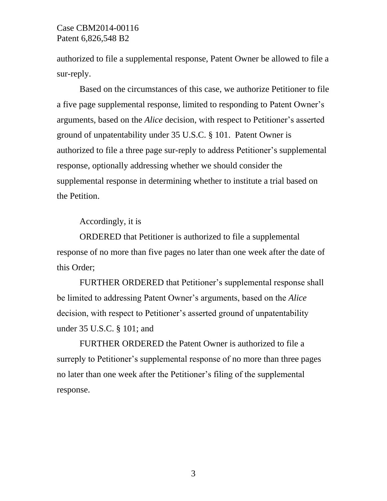authorized to file a supplemental response, Patent Owner be allowed to file a sur-reply.

Based on the circumstances of this case, we authorize Petitioner to file a five page supplemental response, limited to responding to Patent Owner's arguments, based on the *Alice* decision, with respect to Petitioner's asserted ground of unpatentability under 35 U.S.C. § 101. Patent Owner is authorized to file a three page sur-reply to address Petitioner's supplemental response, optionally addressing whether we should consider the supplemental response in determining whether to institute a trial based on the Petition.

Accordingly, it is

ORDERED that Petitioner is authorized to file a supplemental response of no more than five pages no later than one week after the date of this Order;

FURTHER ORDERED that Petitioner's supplemental response shall be limited to addressing Patent Owner's arguments, based on the *Alice*  decision, with respect to Petitioner's asserted ground of unpatentability under 35 U.S.C. § 101; and

FURTHER ORDERED the Patent Owner is authorized to file a surreply to Petitioner's supplemental response of no more than three pages no later than one week after the Petitioner's filing of the supplemental response.

3